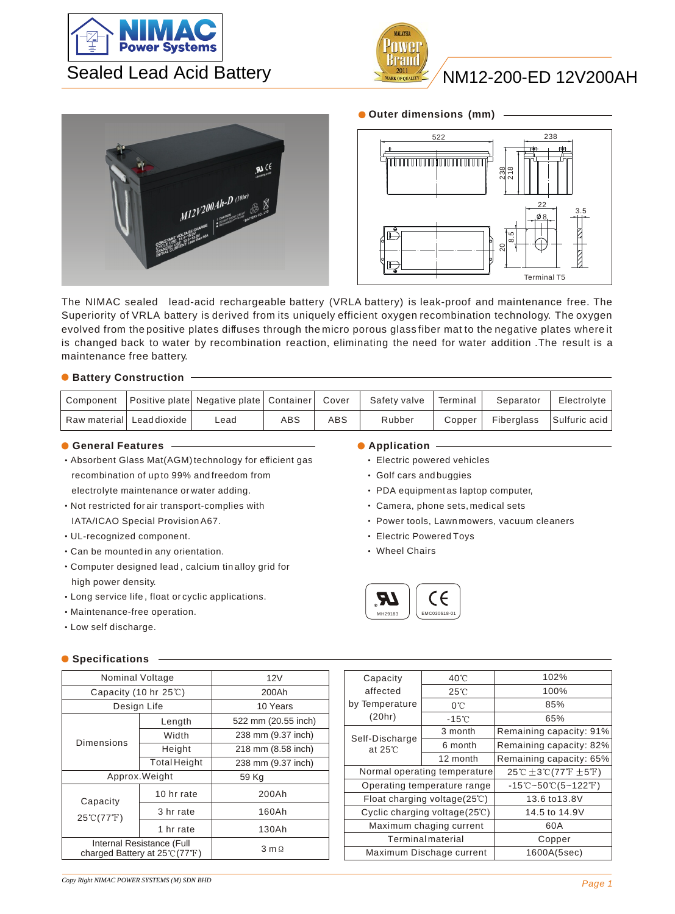



## NM12-200-ED 12V200AH





The NIMAC sealed lead-acid rechargeable battery (VRLA battery) is leak-proof and maintenance free. The Superiority of VRLA battery is derived from its uniquely efficient oxygen recombination technology. The oxygen evolved from the positive plates diffuses through the micro porous glass fiber mat to the negative plates where it is changed back to water by recombination reaction, eliminating the need for water addition .The result is a maintenance free battery.

## **C** Battery Construction -

| Component |                             |      |     |            | Positive plate Negative plate   Container   Cover   Safety valve   Terminal |        | Separator                | Electrolvte |
|-----------|-----------------------------|------|-----|------------|-----------------------------------------------------------------------------|--------|--------------------------|-------------|
|           | Raw material   Lead dioxide | ∟ead | ABS | <b>ABS</b> | Rubber                                                                      | Copper | Fiberglass Sulfuric acid |             |

### **C** General Features **Application C** Application  $\overline{\phantom{a}}$

- Absorbent Glass Mat(AGM) technology for efficient gas recombination of up to 99% and freedom from electrolyte maintenance or water adding.
- Not restricted for air transport-complies with IATA/ICAO Special Provision A67.
- UL-recognized component.
- Can be mounted in any orientation.
- Computer designed lead , calcium tin alloy grid for high power density.
- Long service life , float or cyclic applications.
- Maintenance-free operation.
- Low self discharge.

### **Specifications**

| Nominal Voltage                |                                                                                  | 12V                   |  |  |  |  |
|--------------------------------|----------------------------------------------------------------------------------|-----------------------|--|--|--|--|
| Capacity (10 hr 25°C)          |                                                                                  | 200Ah                 |  |  |  |  |
| Design Life                    |                                                                                  | 10 Years              |  |  |  |  |
|                                | Length                                                                           | 522 mm (20.55 inch)   |  |  |  |  |
|                                | Width                                                                            | 238 mm (9.37 inch)    |  |  |  |  |
| Dimensions                     | Height                                                                           | 218 mm (8.58 inch)    |  |  |  |  |
|                                | <b>Total Height</b>                                                              | 238 mm (9.37 inch)    |  |  |  |  |
|                                | Approx. Weight                                                                   | 59 Kg                 |  |  |  |  |
| Capacity                       | 10 hr rate                                                                       | 200Ah                 |  |  |  |  |
| $25^{\circ}$ (77 $^{\circ}$ F) | 3 hr rate                                                                        | 160Ah                 |  |  |  |  |
|                                | 1 hr rate                                                                        | 130Ah                 |  |  |  |  |
|                                | Internal Resistance (Full<br>charged Battery at $25^{\circ}$ (77 <sup>°</sup> F) | $3 \text{ m } \Omega$ |  |  |  |  |

- Electric powered vehicles
- Golf cars and buggies
- PDA equipment as laptop computer,
- Camera, phone sets, medical sets
- Power tools, Lawn mowers, vacuum cleaners
- Electric Powered Toys
- Wheel Chairs



| Capacity                          | 40°C                                          | 102%                                  |  |  |  |  |
|-----------------------------------|-----------------------------------------------|---------------------------------------|--|--|--|--|
| affected                          | $25^{\circ}$ C                                | 100%                                  |  |  |  |  |
| by Temperature                    | $0^{\circ}$ C                                 | 85%                                   |  |  |  |  |
| (20hr)                            | $-15^{\circ}$ C                               | 65%                                   |  |  |  |  |
|                                   | 3 month                                       | Remaining capacity: 91%               |  |  |  |  |
| Self-Discharge<br>at $25^\circ$ C | 6 month                                       | Remaining capacity: 82%               |  |  |  |  |
|                                   | 12 month                                      | Remaining capacity: 65%               |  |  |  |  |
|                                   | Normal operating temperature                  | 25℃ $\pm$ 3℃(77°F $\pm$ 5°F)          |  |  |  |  |
|                                   | Operating temperature range                   | $-15^{\circ}$ C~50 $\circ$ C(5~122°F) |  |  |  |  |
|                                   | Float charging voltage $(25^{\circ}\text{C})$ | 13.6 to 13.8V                         |  |  |  |  |
|                                   | Cyclic charging voltage(25°C)                 | 14.5 to 14.9V                         |  |  |  |  |
|                                   | Maximum chaging current                       | 60A                                   |  |  |  |  |
|                                   | <b>Terminal material</b>                      | Copper                                |  |  |  |  |
|                                   | Maximum Dischage current                      | 1600A(5sec)                           |  |  |  |  |
|                                   |                                               |                                       |  |  |  |  |